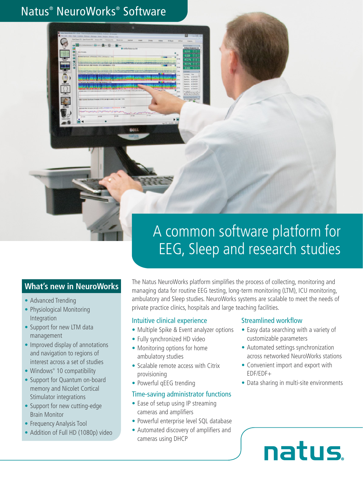# Natus® NeuroWorks® Software

# A common software platform for EEG, Sleep and research studies

### **What's new in NeuroWorks**

- **•** Advanced Trending
- **•** Physiological Monitoring Integration
- **•** Support for new LTM data management
- **•** Improved display of annotations and navigation to regions of interest across a set of studies
- **•** Windows® 10 compatibility
- **•** Support for Quantum on-board memory and Nicolet Cortical Stimulator integrations
- **•** Support for new cutting-edge Brain Monitor
- **•** Frequency Analysis Tool
- **•** Addition of Full HD (1080p) video

The Natus NeuroWorks platform simplifies the process of collecting, monitoring and managing data for routine EEG testing, long-term monitoring (LTM), ICU monitoring, ambulatory and Sleep studies. NeuroWorks systems are scalable to meet the needs of private practice clinics, hospitals and large teaching facilities.

### Intuitive clinical experience

- **•** Multiple Spike & Event analyzer options
- **•** Fully synchronized HD video
- **•** Monitoring options for home ambulatory studies
- **•** Scalable remote access with Citrix provisioning
- **•** Powerful qEEG trending

### Time-saving administrator functions

- **•** Ease of setup using IP streaming cameras and amplifiers
- **•** Powerful enterprise level SQL database
- **•** Automated discovery of amplifiers and cameras using DHCP

### Streamlined workflow

- **•** Easy data searching with a variety of customizable parameters
- **•** Automated settings synchronization across networked NeuroWorks stations
- **•** Convenient import and export with EDF/EDF+
- **•** Data sharing in multi-site environments

# natus.